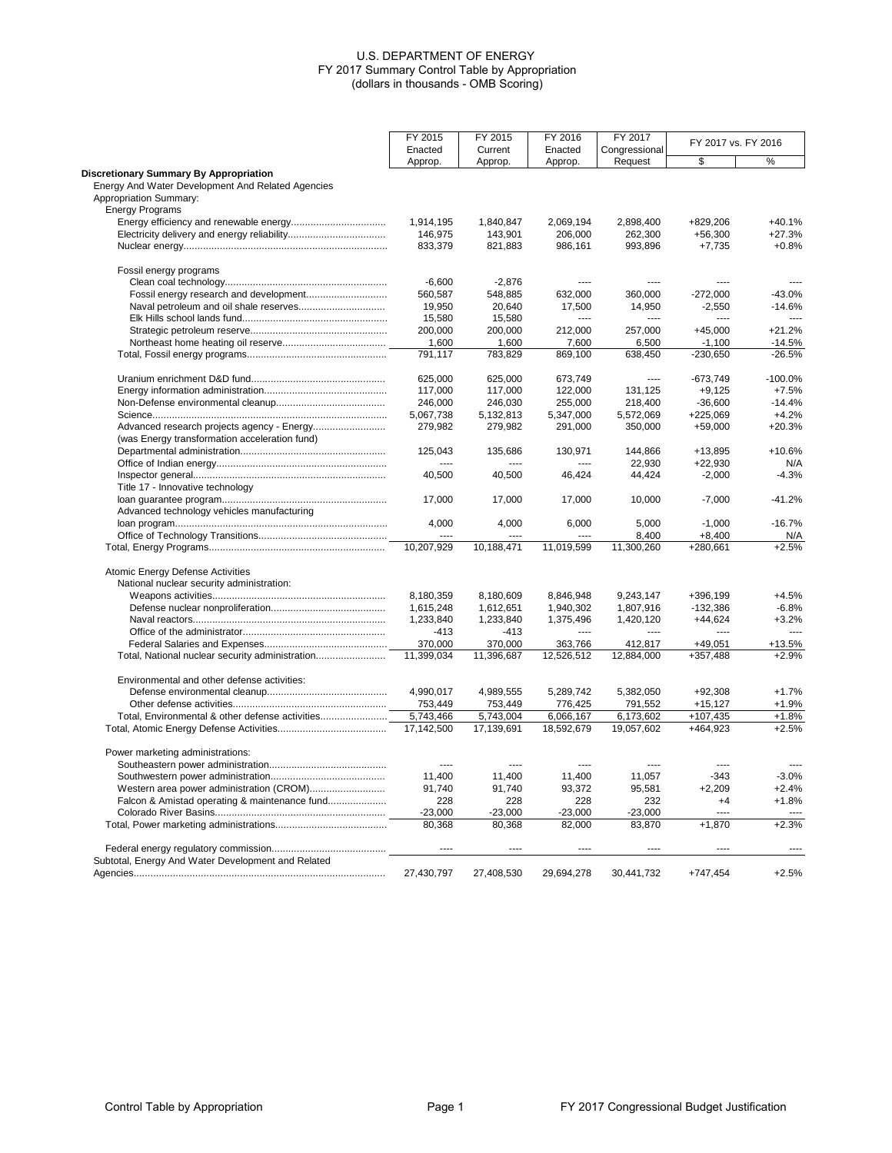|                                                    | FY 2015    | FY 2015    | FY 2016    | FY 2017       |                     |           |
|----------------------------------------------------|------------|------------|------------|---------------|---------------------|-----------|
|                                                    | Enacted    | Current    | Enacted    | Congressional | FY 2017 vs. FY 2016 |           |
|                                                    | Approp.    | Approp.    | Approp.    | Request       | \$                  | %         |
| <b>Discretionary Summary By Appropriation</b>      |            |            |            |               |                     |           |
| Energy And Water Development And Related Agencies  |            |            |            |               |                     |           |
| Appropriation Summary:                             |            |            |            |               |                     |           |
| <b>Energy Programs</b>                             |            |            |            |               |                     |           |
|                                                    | 1,914,195  | 1,840,847  | 2,069,194  | 2,898,400     | +829,206            | $+40.1%$  |
|                                                    | 146,975    |            | 206,000    |               |                     | $+27.3%$  |
|                                                    |            | 143,901    |            | 262,300       | $+56,300$           |           |
|                                                    | 833,379    | 821,883    | 986,161    | 993,896       | $+7,735$            | $+0.8%$   |
| Fossil energy programs                             |            |            |            |               |                     |           |
|                                                    | $-6.600$   | $-2.876$   | ----       | ----          |                     |           |
|                                                    | 560,587    | 548,885    | 632.000    | 360.000       | $-272.000$          | $-43.0%$  |
|                                                    | 19,950     | 20,640     | 17,500     | 14,950        | $-2,550$            | $-14.6%$  |
|                                                    | 15,580     | 15,580     | $---$      | $\sim$        | $---$               | $---$     |
|                                                    | 200,000    | 200,000    | 212,000    | 257,000       | $+45,000$           | $+21.2%$  |
|                                                    | 1,600      | 1,600      | 7,600      | 6,500         | $-1,100$            | $-14.5%$  |
|                                                    | 791,117    | 783,829    | 869,100    | 638,450       | $-230,650$          | $-26.5%$  |
|                                                    |            |            |            |               |                     |           |
|                                                    | 625,000    | 625,000    | 673,749    | ----          | $-673,749$          | $-100.0%$ |
|                                                    | 117,000    | 117,000    | 122,000    | 131,125       | $+9,125$            | $+7.5%$   |
|                                                    | 246,000    | 246,030    | 255,000    | 218,400       | $-36,600$           | $-14.4%$  |
|                                                    | 5,067,738  | 5,132,813  | 5,347,000  | 5,572,069     | $+225,069$          | $+4.2%$   |
|                                                    | 279,982    | 279,982    | 291,000    | 350,000       | $+59,000$           | $+20.3%$  |
| (was Energy transformation acceleration fund)      |            |            |            |               |                     |           |
|                                                    | 125,043    | 135,686    | 130,971    | 144,866       | $+13,895$           | $+10.6%$  |
|                                                    | $1 - 1$    | ----       |            | 22.930        | $+22,930$           | N/A       |
|                                                    | 40,500     | 40,500     | 46,424     | 44,424        | $-2,000$            | $-4.3%$   |
| Title 17 - Innovative technology                   |            |            |            |               |                     |           |
|                                                    |            |            |            |               |                     | $-41.2%$  |
|                                                    | 17,000     | 17,000     | 17,000     | 10,000        | $-7,000$            |           |
| Advanced technology vehicles manufacturing         |            |            |            |               |                     |           |
|                                                    | 4,000      | 4,000      | 6,000      | 5,000         | $-1,000$            | $-16.7%$  |
|                                                    | $\sim$     |            |            | 8,400         | $+8,400$            | N/A       |
|                                                    | 10,207,929 | 10,188,471 | 11,019,599 | 11,300,260    | +280,661            | $+2.5%$   |
| Atomic Energy Defense Activities                   |            |            |            |               |                     |           |
| National nuclear security administration:          |            |            |            |               |                     |           |
|                                                    | 8,180,359  | 8,180,609  | 8,846,948  | 9,243,147     | +396,199            | $+4.5%$   |
|                                                    | 1,615,248  | 1,612,651  | 1,940,302  | 1,807,916     | $-132,386$          | $-6.8%$   |
|                                                    | 1,233,840  | 1,233,840  | 1,375,496  | 1,420,120     | $+44,624$           | $+3.2%$   |
|                                                    | $-413$     | $-413$     | $---$      | $---$         | ----                | 1.11      |
|                                                    | 370,000    | 370,000    | 363,766    | 412,817       | $+49,051$           | +13.5%    |
| Total, National nuclear security administration    | 11.399.034 |            |            |               |                     | $+2.9%$   |
|                                                    |            | 11,396,687 | 12,526,512 | 12,884,000    | +357,488            |           |
| Environmental and other defense activities:        |            |            |            |               |                     |           |
|                                                    | 4,990,017  | 4,989,555  | 5,289,742  | 5,382,050     | $+92,308$           | $+1.7%$   |
|                                                    | 753,449    | 753,449    | 776,425    | 791,552       | $+15,127$           | $+1.9%$   |
| Total, Environmental & other defense activities    | 5,743,466  | 5,743,004  | 6,066,167  | 6,173,602     | +107,435            | $+1.8%$   |
|                                                    | 17,142,500 | 17,139,691 | 18,592,679 | 19,057,602    | +464,923            | $+2.5%$   |
|                                                    |            |            |            |               |                     |           |
| Power marketing administrations:                   |            |            |            |               |                     |           |
|                                                    | $\cdots$   | ----       | $---$      | ----          | ----                | $\sim$    |
|                                                    | 11,400     | 11,400     | 11,400     | 11,057        | $-343$              | $-3.0%$   |
| Western area power administration (CROM)           | 91,740     | 91,740     | 93,372     | 95,581        | $+2,209$            | $+2.4%$   |
| Falcon & Amistad operating & maintenance fund      | 228        | 228        | 228        | 232           | $+4$                | $+1.8%$   |
|                                                    | $-23,000$  | $-23,000$  | $-23,000$  | $-23,000$     |                     | $\sim$    |
|                                                    | 80,368     | 80,368     | 82,000     | 83,870        | $+1,870$            | $+2.3%$   |
|                                                    |            |            |            |               |                     |           |
| Subtotal, Energy And Water Development and Related |            |            |            |               |                     |           |
|                                                    | 27,430,797 | 27,408,530 | 29,694,278 | 30,441,732    | $+747,454$          | $+2.5%$   |
|                                                    |            |            |            |               |                     |           |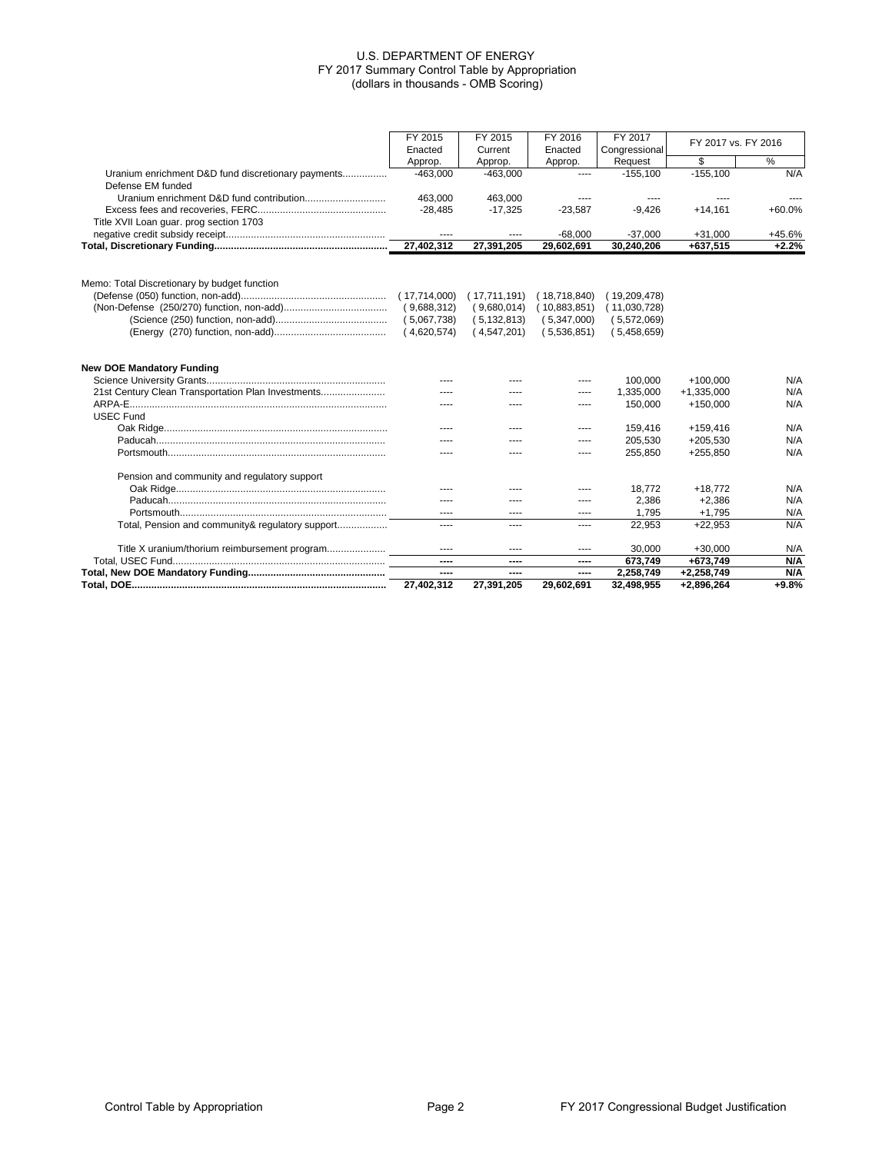|                                                    | FY 2015      | FY 2015       | FY 2016      | FY 2017       | FY 2017 vs. FY 2016 |          |
|----------------------------------------------------|--------------|---------------|--------------|---------------|---------------------|----------|
|                                                    | Enacted      | Current       | Enacted      | Congressional |                     |          |
|                                                    | Approp.      | Approp.       | Approp.      | Request       | \$                  | %        |
| Uranium enrichment D&D fund discretionary payments | $-463.000$   | $-463.000$    | $---$        | $-155.100$    | $-155.100$          | N/A      |
| Defense EM funded                                  |              |               |              |               |                     |          |
|                                                    | 463.000      | 463.000       |              |               |                     |          |
|                                                    | $-28,485$    | $-17,325$     | $-23,587$    | $-9.426$      | $+14.161$           | $+60.0%$ |
| Title XVII Loan guar. prog section 1703            |              |               |              |               |                     |          |
|                                                    | $---$        | ----          | $-68,000$    | $-37,000$     | $+31,000$           | +45.6%   |
|                                                    | 27,402,312   | 27,391,205    | 29,602,691   | 30,240,206    | +637,515            | $+2.2%$  |
|                                                    |              |               |              |               |                     |          |
| Memo: Total Discretionary by budget function       |              |               |              |               |                     |          |
|                                                    | (17,714,000) | (17,711,191)  | (18,718,840) | (19,209,478)  |                     |          |
|                                                    | (9,688,312)  | (9,680,014)   | (10,883,851) | (11,030,728)  |                     |          |
|                                                    | (5,067,738)  | (5, 132, 813) | (5,347,000)  | (5,572,069)   |                     |          |
|                                                    | (4,620,574)  | (4,547,201)   | (5,536,851)  | (5,458,659)   |                     |          |
|                                                    |              |               |              |               |                     |          |
| <b>New DOE Mandatory Funding</b>                   |              |               |              |               |                     |          |
|                                                    |              |               | $- - - -$    | 100,000       | $+100.000$          | N/A      |
| 21st Century Clean Transportation Plan Investments |              |               | ----         | 1,335,000     | $+1,335,000$        | N/A      |
|                                                    |              |               | ----         | 150,000       | $+150,000$          | N/A      |
| <b>USEC Fund</b>                                   |              |               |              |               |                     |          |
|                                                    |              | ----          | $- - - -$    | 159,416       | $+159,416$          | N/A      |
|                                                    |              |               | ----         | 205,530       | $+205,530$          | N/A      |
|                                                    |              |               | ----         | 255,850       | $+255,850$          | N/A      |
| Pension and community and regulatory support       |              |               |              |               |                     |          |
|                                                    |              |               | ----         | 18,772        | $+18,772$           | N/A      |
|                                                    | $- - - -$    | $- - - -$     | $- - - -$    | 2,386         | $+2.386$            | N/A      |
|                                                    | $---$        | ----          | ----         | 1,795         | $+1,795$            | N/A      |
| Total, Pension and community& regulatory support   | $---$        | ----          | ----         | 22.953        | $+22.953$           | N/A      |
|                                                    | $\cdots$     | ----          | ----         | 30.000        | $+30.000$           | N/A      |
|                                                    | ----         | ----          | ----         | 673,749       | +673,749            | N/A      |
|                                                    | ----         | ----          | ----         | 2.258.749     | $+2,258,749$        | N/A      |
|                                                    | 27,402,312   | 27,391,205    | 29,602,691   | 32,498,955    | +2,896,264          | $+9.8%$  |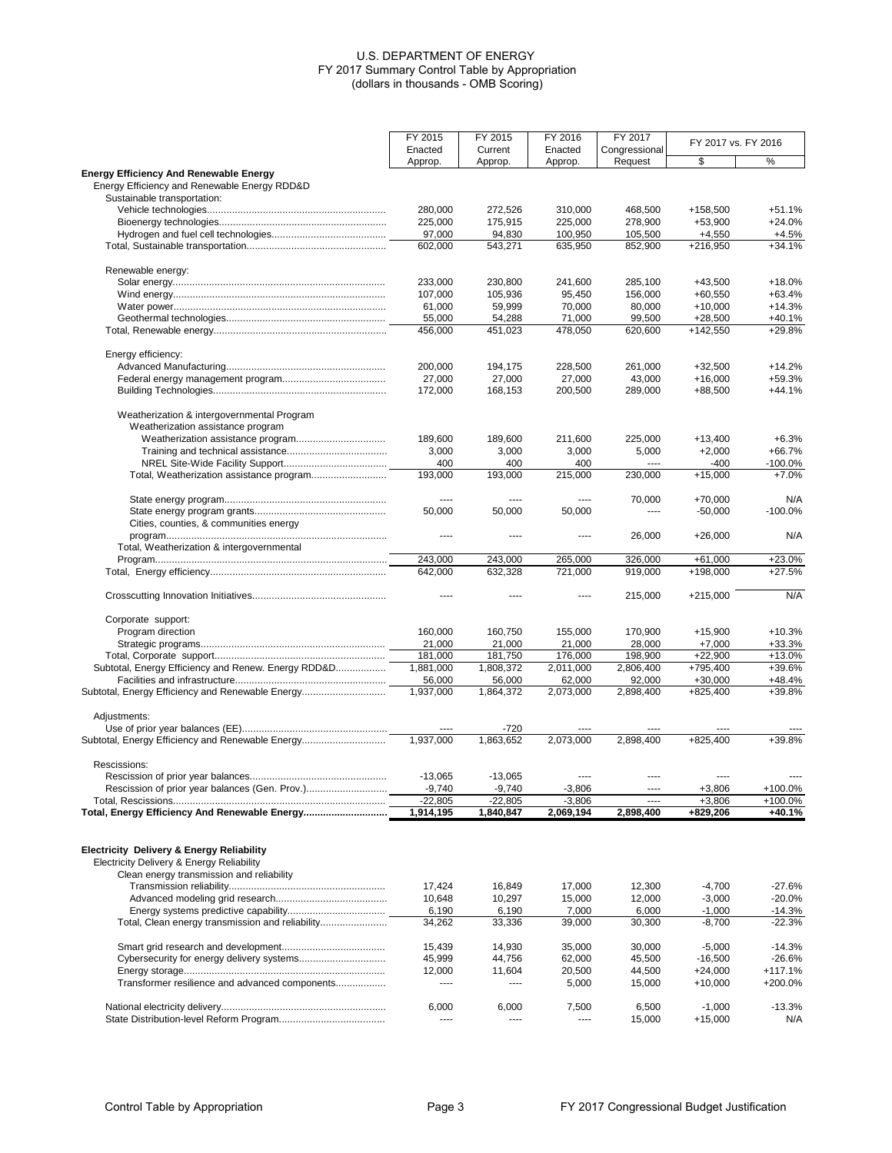|                                                                                                                                     | FY 2015           | FY 2015            | FY 2016            | FY 2017            |                        | FY 2017 vs. FY 2016  |  |
|-------------------------------------------------------------------------------------------------------------------------------------|-------------------|--------------------|--------------------|--------------------|------------------------|----------------------|--|
|                                                                                                                                     | Enacted           | Current            | Enacted            | Congressional      |                        |                      |  |
|                                                                                                                                     | Approp.           | Approp.            | Approp.            | Request            | \$                     | %                    |  |
| <b>Energy Efficiency And Renewable Energy</b><br>Energy Efficiency and Renewable Energy RDD&D                                       |                   |                    |                    |                    |                        |                      |  |
| Sustainable transportation:                                                                                                         |                   |                    |                    | 468.500            |                        |                      |  |
|                                                                                                                                     | 280,000           | 272,526            | 310,000            |                    | +158,500               | $+51.1%$<br>$+24.0%$ |  |
|                                                                                                                                     | 225,000<br>97,000 | 175,915<br>94,830  | 225,000<br>100,950 | 278,900            | $+53,900$              | $+4.5%$              |  |
|                                                                                                                                     | 602,000           | 543,271            | 635,950            | 105,500<br>852,900 | $+4,550$<br>$+216,950$ | $+34.1%$             |  |
|                                                                                                                                     |                   |                    |                    |                    |                        |                      |  |
| Renewable energy:                                                                                                                   |                   |                    |                    |                    |                        |                      |  |
|                                                                                                                                     | 233,000           | 230,800            | 241,600            | 285,100            | $+43,500$              | $+18.0%$             |  |
|                                                                                                                                     | 107,000           | 105,936            | 95.450             | 156,000            | $+60,550$              | $+63.4%$             |  |
|                                                                                                                                     | 61,000            | 59,999             | 70,000             | 80,000             | $+10,000$              | $+14.3%$             |  |
|                                                                                                                                     | 55,000            | 54,288             | 71.000             | 99,500             | $+28,500$              | $+40.1%$             |  |
|                                                                                                                                     | 456,000           | 451,023            | 478,050            | 620,600            | $+142,550$             | $+29.8\%$            |  |
| Energy efficiency:                                                                                                                  |                   |                    |                    |                    |                        |                      |  |
|                                                                                                                                     | 200,000           | 194,175            | 228,500            | 261,000            | $+32,500$              | $+14.2%$             |  |
|                                                                                                                                     | 27,000            | 27,000             | 27,000             | 43,000             | $+16,000$              | +59.3%               |  |
|                                                                                                                                     | 172,000           | 168,153            | 200,500            | 289,000            | $+88,500$              | $+44.1%$             |  |
| Weatherization & intergovernmental Program<br>Weatherization assistance program                                                     |                   |                    |                    |                    |                        |                      |  |
|                                                                                                                                     | 189,600           | 189,600            | 211,600            | 225,000            | $+13,400$              | $+6.3%$              |  |
|                                                                                                                                     | 3,000             | 3,000              | 3,000              | 5,000              | $+2,000$               | $+66.7%$             |  |
|                                                                                                                                     | 400               | 400                | 400                | $---$              | $-400$                 | -100.0%              |  |
|                                                                                                                                     | 193,000           | 193,000            | 215,000            | 230,000            | $+15,000$              | $+7.0%$              |  |
|                                                                                                                                     |                   |                    |                    |                    |                        |                      |  |
|                                                                                                                                     | $---$             | $\cdots$<br>50,000 | ----               | 70,000<br>$\cdots$ | $+70,000$<br>$-50,000$ | N/A<br>$-100.0%$     |  |
| Cities, counties, & communities energy                                                                                              | 50,000            |                    | 50,000             |                    |                        |                      |  |
|                                                                                                                                     |                   | ----               | ----               | 26,000             | $+26,000$              | N/A                  |  |
| Total, Weatherization & intergovernmental                                                                                           |                   |                    |                    |                    |                        |                      |  |
|                                                                                                                                     | 243,000           | 243,000            | 265,000            | 326,000            | $+61,000$              | $+23.0%$             |  |
|                                                                                                                                     | 642,000           | 632,328            | 721,000            | 919,000            | +198,000               | $+27.5%$             |  |
|                                                                                                                                     | ----              | $- - - -$          | ----               | 215,000            | $+215,000$             | N/A                  |  |
| Corporate support:                                                                                                                  |                   |                    |                    |                    |                        |                      |  |
| Program direction                                                                                                                   | 160,000           | 160,750            | 155,000            | 170,900            | $+15,900$              | $+10.3%$             |  |
|                                                                                                                                     | 21,000            | 21,000             | 21,000             | 28,000             | $+7,000$               | $+33.3%$             |  |
|                                                                                                                                     | 181,000           | 181,750            | 176,000            | 198,900            | $+22,900$              | $+13.0%$             |  |
| Subtotal, Energy Efficiency and Renew. Energy RDD&D                                                                                 | 1,881,000         | 1,808,372          | 2,011,000          | 2,806,400          | +795,400               | +39.6%               |  |
|                                                                                                                                     | 56,000            | 56,000             | 62,000             | 92,000             | $+30,000$              | $+48.4%$             |  |
| Subtotal, Energy Efficiency and Renewable Energy                                                                                    | 1,937,000         | 1,864,372          | 2,073,000          | 2,898,400          | $+825,400$             | +39.8%               |  |
|                                                                                                                                     |                   |                    |                    |                    |                        |                      |  |
| Adjustments:                                                                                                                        | ----              | $-720$             | ----               | ----               | ----                   |                      |  |
| Subtotal, Energy Efficiency and Renewable Energy                                                                                    | 1,937,000         | 1,863,652          | 2,073,000          | 2,898,400          | $+825,400$             | +39.8%               |  |
|                                                                                                                                     |                   |                    |                    |                    |                        |                      |  |
| Rescissions:                                                                                                                        | $-13,065$         | $-13,065$          | ----               | ----               | ----                   | $---$                |  |
|                                                                                                                                     | $-9,740$          | $-9,740$           | $-3,806$           | $\cdots$           | $+3,806$               | +100.0%              |  |
|                                                                                                                                     | $-22,805$         | $-22,805$          | $-3,806$           | ----               | $+3,806$               | +100.0%              |  |
|                                                                                                                                     | 1,914,195         | 1,840,847          | 2,069,194          | 2,898,400          | +829,206               | +40.1%               |  |
|                                                                                                                                     |                   |                    |                    |                    |                        |                      |  |
| Electricity Delivery & Energy Reliability<br>Electricity Delivery & Energy Reliability<br>Clean energy transmission and reliability |                   |                    |                    |                    |                        |                      |  |
|                                                                                                                                     | 17,424            | 16,849             | 17,000             | 12,300             | $-4,700$               | $-27.6%$             |  |
|                                                                                                                                     | 10,648            | 10,297             | 15,000             | 12,000             | $-3,000$               | $-20.0%$             |  |
|                                                                                                                                     | 6,190             | 6,190              | 7,000              | 6,000              | $-1,000$               | $-14.3%$             |  |
| Total, Clean energy transmission and reliability                                                                                    | 34,262            | 33,336             | 39,000             | 30,300             | $-8,700$               | $-22.3%$             |  |
|                                                                                                                                     |                   |                    |                    |                    |                        |                      |  |
|                                                                                                                                     | 15,439            | 14,930             | 35,000             | 30,000             | $-5,000$               | $-14.3%$             |  |
|                                                                                                                                     | 45,999            | 44,756             | 62,000             | 45,500             | $-16,500$              | $-26.6%$             |  |
|                                                                                                                                     | 12,000            | 11,604             | 20,500             | 44,500             | $+24,000$              | +117.1%              |  |
| Transformer resilience and advanced components                                                                                      | ----              | ----               | 5,000              | 15,000             | $+10,000$              | +200.0%              |  |
|                                                                                                                                     | 6,000             | 6,000              | 7,500              | 6,500              | $-1,000$               | $-13.3%$             |  |
|                                                                                                                                     | ----              | ----               | ----               | 15,000             | $+15,000$              | N/A                  |  |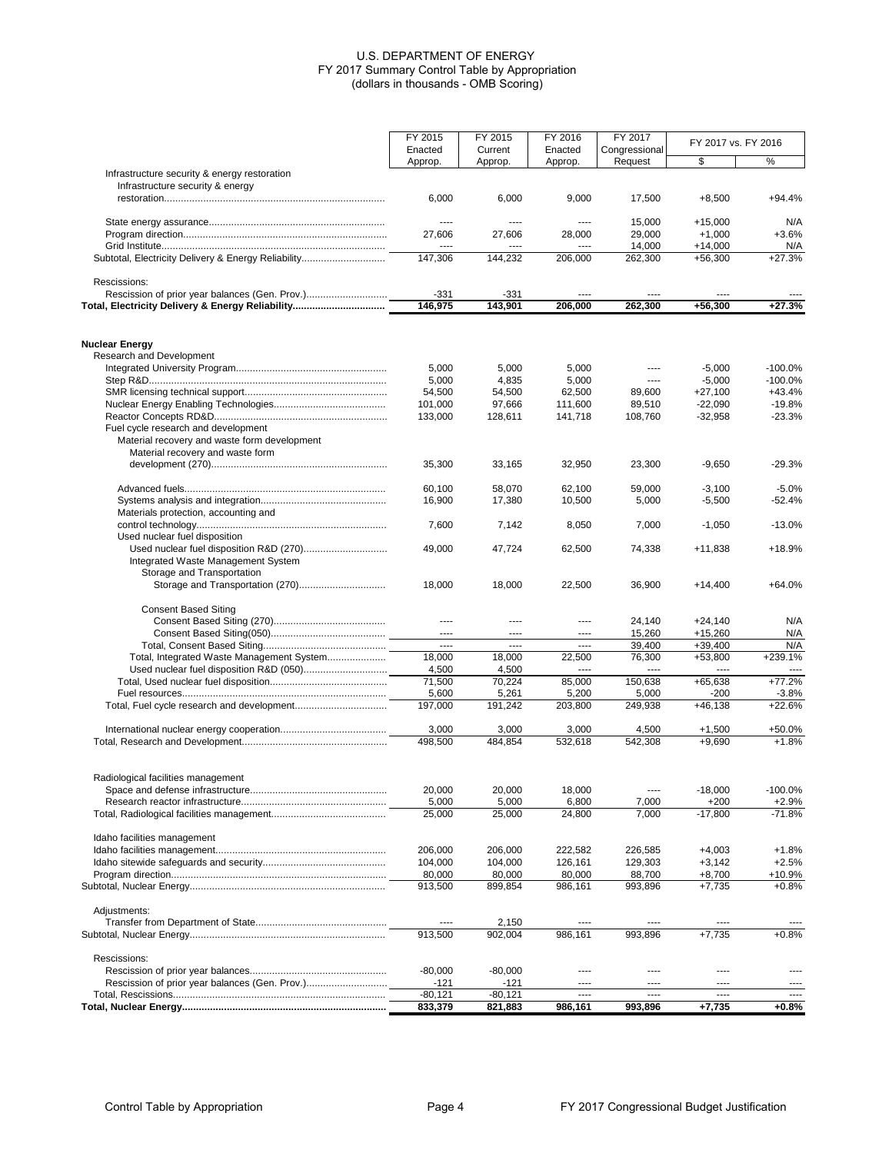|                                                     | FY 2015<br>Enacted       | FY 2015<br>Current | FY 2016<br>Enacted | FY 2017<br>Congressional | FY 2017 vs. FY 2016   |                        |
|-----------------------------------------------------|--------------------------|--------------------|--------------------|--------------------------|-----------------------|------------------------|
|                                                     | Approp.                  | Approp.            | Approp.            | Request                  | \$                    | %                      |
| Infrastructure security & energy restoration        |                          |                    |                    |                          |                       |                        |
| Infrastructure security & energy                    |                          |                    |                    |                          |                       |                        |
|                                                     | 6,000                    | 6,000              | 9,000              | 17,500                   | $+8,500$              | $+94.4%$               |
|                                                     |                          |                    |                    |                          |                       |                        |
|                                                     | $\cdots$                 | ----               | $---$              | 15,000                   | $+15.000$             | N/A                    |
|                                                     | 27,606                   | 27,606             | 28,000             | 29,000<br>14,000         | $+1,000$<br>$+14,000$ | $+3.6%$<br>N/A         |
| Subtotal, Electricity Delivery & Energy Reliability | 147,306                  | 144,232            | 206,000            | 262,300                  | $+56,300$             | $+27.3%$               |
|                                                     |                          |                    |                    |                          |                       |                        |
| Rescissions:                                        |                          |                    |                    |                          |                       |                        |
|                                                     | $-331$                   | $-331$             | $---$              | ----                     | ----                  |                        |
| Total, Electricity Delivery & Energy Reliability    | 146,975                  | 143,901            | 206,000            | 262,300                  | +56,300               | $+27.3%$               |
|                                                     |                          |                    |                    |                          |                       |                        |
|                                                     |                          |                    |                    |                          |                       |                        |
| <b>Nuclear Energy</b>                               |                          |                    |                    |                          |                       |                        |
| Research and Development                            |                          |                    |                    | ----                     |                       |                        |
|                                                     | 5,000<br>5,000           | 5,000<br>4,835     | 5,000<br>5,000     | ----                     | $-5,000$<br>$-5,000$  | $-100.0%$<br>$-100.0%$ |
|                                                     | 54,500                   | 54,500             | 62,500             | 89,600                   | $+27,100$             | $+43.4%$               |
|                                                     | 101,000                  | 97,666             | 111,600            | 89,510                   | $-22,090$             | $-19.8%$               |
|                                                     | 133,000                  | 128,611            | 141,718            | 108,760                  | $-32,958$             | $-23.3%$               |
| Fuel cycle research and development                 |                          |                    |                    |                          |                       |                        |
| Material recovery and waste form development        |                          |                    |                    |                          |                       |                        |
| Material recovery and waste form                    |                          |                    |                    |                          |                       |                        |
|                                                     | 35,300                   | 33,165             | 32,950             | 23,300                   | $-9,650$              | $-29.3%$               |
|                                                     |                          |                    |                    |                          |                       |                        |
|                                                     | 60,100                   | 58,070             | 62,100             | 59,000                   | $-3,100$              | $-5.0%$                |
|                                                     | 16,900                   | 17,380             | 10,500             | 5,000                    | $-5,500$              | -52.4%                 |
| Materials protection, accounting and                | 7,600                    | 7,142              |                    | 7,000                    | $-1,050$              | $-13.0%$               |
| Used nuclear fuel disposition                       |                          |                    | 8,050              |                          |                       |                        |
|                                                     | 49,000                   | 47,724             | 62,500             | 74,338                   | $+11,838$             | +18.9%                 |
| Integrated Waste Management System                  |                          |                    |                    |                          |                       |                        |
| Storage and Transportation                          |                          |                    |                    |                          |                       |                        |
| Storage and Transportation (270)                    | 18,000                   | 18,000             | 22,500             | 36,900                   | $+14,400$             | $+64.0%$               |
|                                                     |                          |                    |                    |                          |                       |                        |
| <b>Consent Based Siting</b>                         |                          |                    |                    |                          |                       |                        |
|                                                     | $\cdots$                 | ----               | $---$              | 24,140                   | $+24,140$             | N/A                    |
|                                                     | $---$                    | ----               | ----               | 15,260                   | $+15,260$             | N/A                    |
| Total, Integrated Waste Management System           | $\overline{a}$<br>18,000 | $---$<br>18,000    | $---$<br>22,500    | 39,400                   | $+39,400$             | N/A<br>+239.1%         |
|                                                     | 4,500                    | 4,500              | $---$              | 76,300<br>----           | $+53,800$<br>----     |                        |
|                                                     | 71,500                   | 70,224             | 85,000             | 150,638                  | $+65,638$             | $+77.2%$               |
|                                                     | 5,600                    | 5,261              | 5,200              | 5,000                    | -200                  | -3.8%                  |
|                                                     | 197,000                  | 191.242            | 203.800            | 249,938                  | $+46,138$             | $+22.6%$               |
|                                                     |                          |                    |                    |                          |                       |                        |
|                                                     | 3,000                    | 3,000              | 3,000              | 4,500                    | $+1,500$              | +50.0%                 |
|                                                     | 498,500                  | 484,854            | 532.618            | 542,308                  | $+9,690$              | $+1.8%$                |
|                                                     |                          |                    |                    |                          |                       |                        |
|                                                     |                          |                    |                    |                          |                       |                        |
| Radiological facilities management                  |                          |                    |                    |                          |                       |                        |
|                                                     | 20,000                   | 20,000             | 18,000             | $\cdots$                 | $-18,000$             | $-100.0%$              |
|                                                     | 5,000<br>25,000          | 5,000<br>25,000    | 6,800<br>24,800    | 7,000<br>7,000           | $+200$<br>$-17,800$   | $+2.9%$<br>$-71.8%$    |
|                                                     |                          |                    |                    |                          |                       |                        |
| Idaho facilities management                         |                          |                    |                    |                          |                       |                        |
|                                                     | 206,000                  | 206,000            | 222,582            | 226,585                  | $+4,003$              | $+1.8%$                |
|                                                     | 104,000                  | 104,000            | 126,161            | 129,303                  | $+3,142$              | $+2.5%$                |
|                                                     | 80,000                   | 80,000             | 80,000             | 88,700                   | $+8,700$              | +10.9%                 |
|                                                     | 913,500                  | 899,854            | 986,161            | 993,896                  | $+7.735$              | $+0.8%$                |
|                                                     |                          |                    |                    |                          |                       |                        |
| Adjustments:                                        |                          |                    |                    |                          |                       |                        |
|                                                     |                          | 2,150              |                    |                          |                       |                        |
|                                                     | 913,500                  | 902,004            | 986,161            | 993,896                  | $+7,735$              | $+0.8%$                |
| Rescissions:                                        |                          |                    |                    |                          |                       |                        |
|                                                     | $-80,000$                | $-80,000$          | ----               | ----                     | $\cdots$              | ----                   |
|                                                     | -121                     | -121               | ----               |                          | ----                  |                        |
|                                                     | $-80,121$                | $-80,121$          | $---$              | ----                     | ----                  | $\overline{a}$         |
|                                                     | 833,379                  | 821,883            | 986,161            | 993,896                  | $+7,735$              | $+0.8%$                |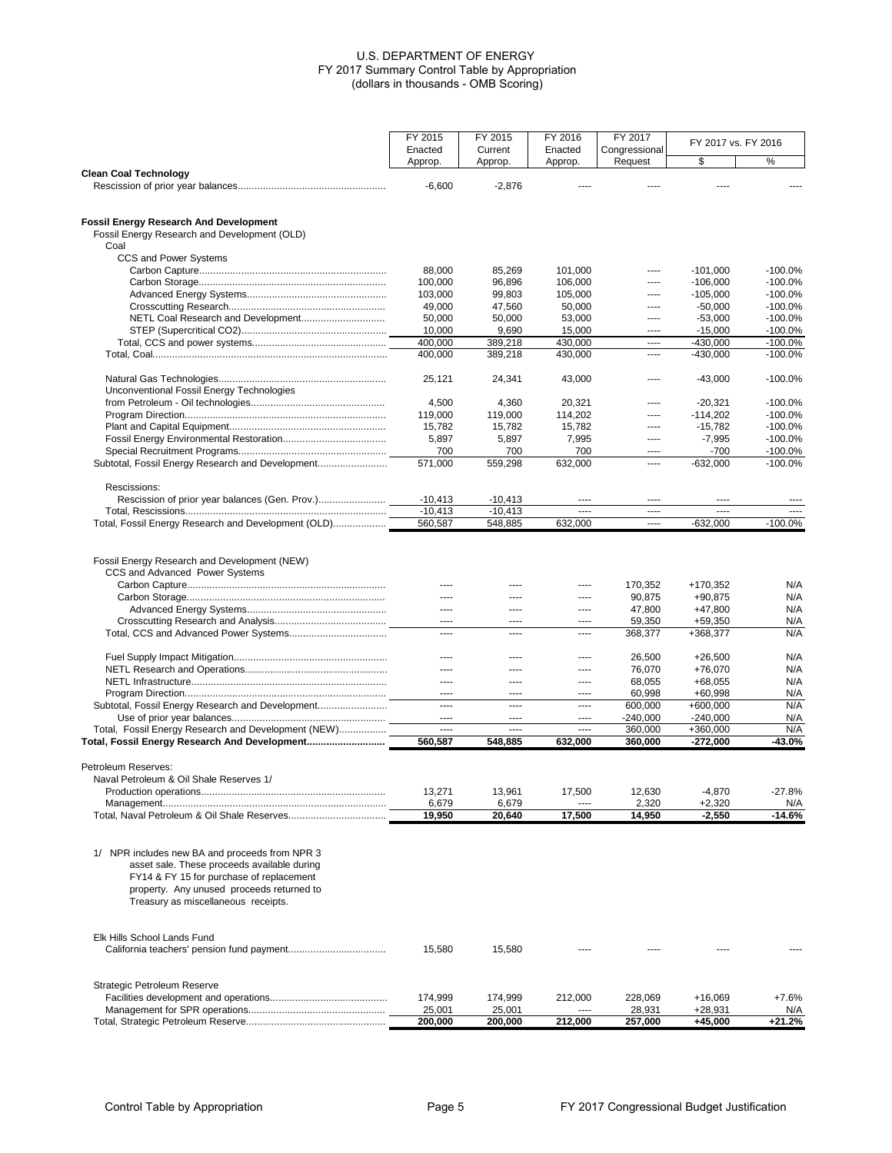|                                                                                                                                                                                                                               | FY 2015            | FY 2015             | FY 2016            | FY 2017                  |                          | FY 2017 vs. FY 2016    |  |
|-------------------------------------------------------------------------------------------------------------------------------------------------------------------------------------------------------------------------------|--------------------|---------------------|--------------------|--------------------------|--------------------------|------------------------|--|
|                                                                                                                                                                                                                               | Enacted<br>Approp. | Current<br>Approp.  | Enacted<br>Approp. | Congressional<br>Request | \$                       | %                      |  |
| <b>Clean Coal Technology</b>                                                                                                                                                                                                  | $-6,600$           | $-2,876$            |                    |                          |                          |                        |  |
| <b>Fossil Energy Research And Development</b><br>Fossil Energy Research and Development (OLD)<br>Coal                                                                                                                         |                    |                     |                    |                          |                          |                        |  |
| CCS and Power Systems                                                                                                                                                                                                         |                    |                     |                    |                          |                          |                        |  |
|                                                                                                                                                                                                                               | 88,000             | 85,269              | 101,000            | $---$                    | $-101,000$               | $-100.0%$              |  |
|                                                                                                                                                                                                                               | 100,000<br>103,000 | 96,896<br>99,803    | 106,000<br>105,000 | ----<br>----             | $-106,000$<br>$-105,000$ | $-100.0%$<br>$-100.0%$ |  |
|                                                                                                                                                                                                                               | 49,000             | 47,560              | 50,000             | ----                     | $-50.000$                | $-100.0%$              |  |
| NETL Coal Research and Development                                                                                                                                                                                            | 50,000             | 50,000              | 53,000             | $---$                    | $-53,000$                | $-100.0%$              |  |
|                                                                                                                                                                                                                               | 10,000             | 9,690               | 15,000             | ----                     | $-15,000$                | $-100.0%$              |  |
|                                                                                                                                                                                                                               | 400,000            | 389,218             | 430,000            | $\overline{a}$           | $-430,000$               | $-100.0%$              |  |
|                                                                                                                                                                                                                               | 400,000            | 389,218             | 430,000            | $\cdots$                 | $-430,000$               | $-100.0%$              |  |
|                                                                                                                                                                                                                               | 25,121             | 24,341              | 43,000             | $\cdots$                 | $-43,000$                | $-100.0%$              |  |
| Unconventional Fossil Energy Technologies                                                                                                                                                                                     |                    |                     |                    |                          |                          |                        |  |
|                                                                                                                                                                                                                               | 4,500              | 4,360               | 20,321             | $---$                    | $-20,321$                | $-100.0%$              |  |
|                                                                                                                                                                                                                               | 119.000            | 119,000             | 114,202            | ----                     | $-114.202$               | $-100.0%$              |  |
|                                                                                                                                                                                                                               | 15,782             | 15,782              | 15,782             | $\cdots$                 | $-15,782$                | $-100.0%$              |  |
|                                                                                                                                                                                                                               | 5,897              | 5,897               | 7,995              | ----                     | $-7,995$                 | $-100.0%$              |  |
|                                                                                                                                                                                                                               | 700                | 700<br>559.298      | 700                | ----                     | $-700$                   | $-100.0%$              |  |
| Subtotal, Fossil Energy Research and Development                                                                                                                                                                              | 571,000            |                     | 632,000            | $\cdots$                 | $-632,000$               | $-100.0%$              |  |
| Rescissions:                                                                                                                                                                                                                  |                    |                     |                    |                          |                          |                        |  |
|                                                                                                                                                                                                                               | $-10,413$          | $-10,413$           |                    | $\cdots$                 | ----                     |                        |  |
|                                                                                                                                                                                                                               | $-10,413$          | $-10.413$           | ----               | $\cdots$                 | ----                     | $- - - -$              |  |
| Total, Fossil Energy Research and Development (OLD)                                                                                                                                                                           | 560,587            | 548,885             | 632,000            | ----                     | $-632,000$               | $-100.0%$              |  |
| Fossil Energy Research and Development (NEW)<br>CCS and Advanced Power Systems                                                                                                                                                | ----               | ----                | ----               | 170,352                  | +170,352                 | N/A                    |  |
|                                                                                                                                                                                                                               | ----               | ----                | ----               | 90,875                   | +90,875                  | N/A                    |  |
|                                                                                                                                                                                                                               | $---$              | ----                | ----               | 47,800                   | $+47,800$                | N/A                    |  |
|                                                                                                                                                                                                                               | $---$              | $---$               | ----               | 59,350                   | $+59,350$                | N/A                    |  |
|                                                                                                                                                                                                                               | ----               | $\cdots$            | ----               | 368,377                  | +368,377                 | N/A                    |  |
|                                                                                                                                                                                                                               | ----               | ----                | ----               | 26,500                   | $+26,500$                | N/A                    |  |
|                                                                                                                                                                                                                               | $---$              | ----                | ----               | 76,070                   | +76,070                  | N/A                    |  |
|                                                                                                                                                                                                                               | $---$              | $---$               | ----               | 68,055                   | $+68,055$                | N/A                    |  |
|                                                                                                                                                                                                                               | ----               | ----                | ----               | 60,998                   | $+60,998$                | N/A                    |  |
| Subtotal, Fossil Energy Research and Development                                                                                                                                                                              | ----               | $\cdots$            | ----               | 600,000                  | $+600,000$               | N/A                    |  |
|                                                                                                                                                                                                                               | $---$<br>$---$     | $---$               | ----<br>$---$      | $-240,000$               | $-240,000$               | N/A                    |  |
| Total, Fossil Energy Research and Development (NEW)<br>Total, Fossil Energy Research And Development                                                                                                                          | 560,587            | $\cdots$<br>548,885 | 632,000            | 360,000<br>360,000       | +360,000<br>$-272,000$   | N/A<br>-43.0%          |  |
|                                                                                                                                                                                                                               |                    |                     |                    |                          |                          |                        |  |
| Petroleum Reserves:                                                                                                                                                                                                           |                    |                     |                    |                          |                          |                        |  |
| Naval Petroleum & Oil Shale Reserves 1/                                                                                                                                                                                       |                    |                     |                    |                          |                          |                        |  |
|                                                                                                                                                                                                                               | 13,271             | 13,961              | 17,500<br>----     | 12,630                   | $-4,870$                 | $-27.8%$               |  |
|                                                                                                                                                                                                                               | 6,679<br>19,950    | 6,679<br>20,640     | 17,500             | 2,320<br>14,950          | $+2,320$<br>$-2,550$     | N/A<br>-14.6%          |  |
|                                                                                                                                                                                                                               |                    |                     |                    |                          |                          |                        |  |
| 1/ NPR includes new BA and proceeds from NPR 3<br>asset sale. These proceeds available during<br>FY14 & FY 15 for purchase of replacement<br>property. Any unused proceeds returned to<br>Treasury as miscellaneous receipts. |                    |                     |                    |                          |                          |                        |  |
| Elk Hills School Lands Fund                                                                                                                                                                                                   | 15,580             | 15,580              |                    |                          |                          |                        |  |
| Strategic Petroleum Reserve                                                                                                                                                                                                   |                    |                     |                    |                          |                          |                        |  |
|                                                                                                                                                                                                                               | 174,999            | 174,999             | 212,000            | 228,069                  | +16,069                  | $+7.6%$                |  |
|                                                                                                                                                                                                                               | 25,001             | 25,001              |                    | 28,931                   | +28,931                  | N/A                    |  |
|                                                                                                                                                                                                                               | 200,000            | 200,000             | 212,000            | 257,000                  | +45,000                  | $+21.2%$               |  |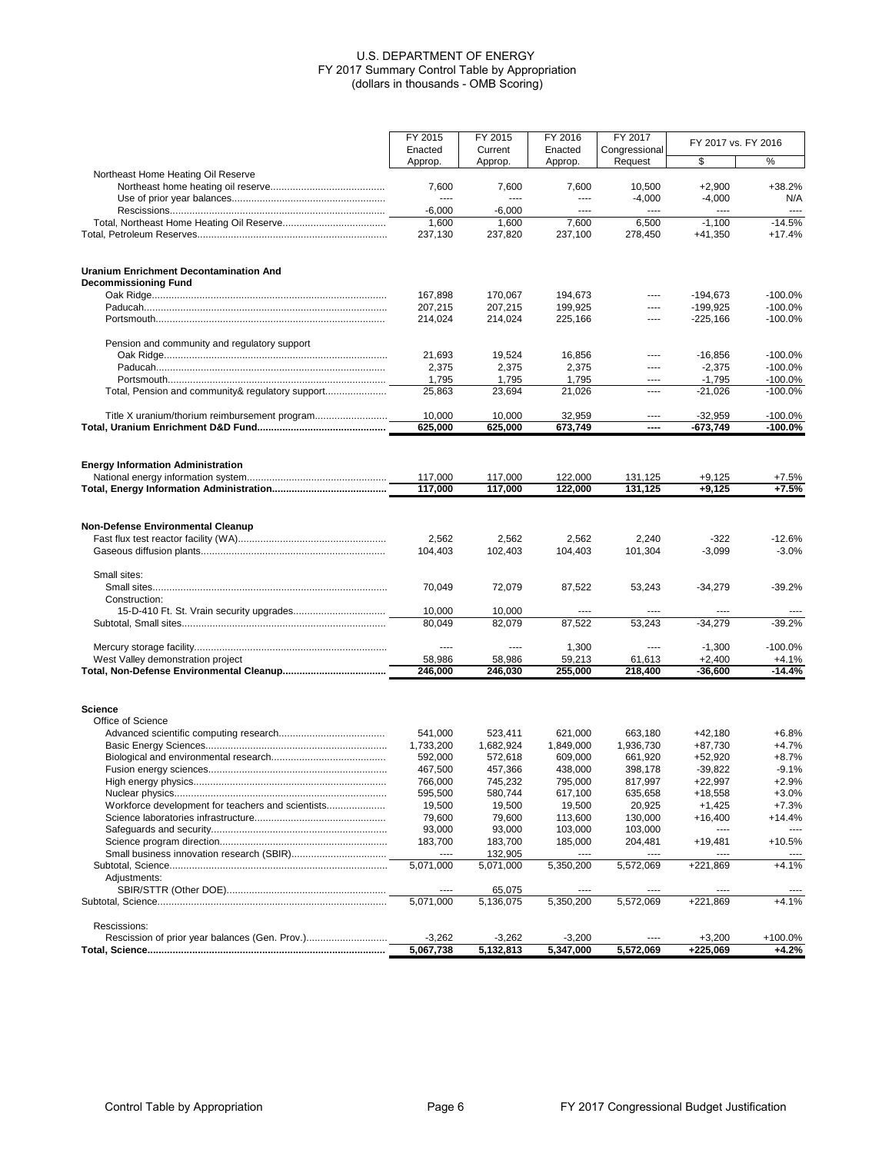|                                                   | FY 2015            | FY 2015            | FY 2016            | FY 2017                  | FY 2017 vs. FY 2016      |                        |
|---------------------------------------------------|--------------------|--------------------|--------------------|--------------------------|--------------------------|------------------------|
|                                                   | Enacted<br>Approp. | Current<br>Approp. | Enacted<br>Approp. | Congressional<br>Request | \$                       | %                      |
| Northeast Home Heating Oil Reserve                |                    |                    |                    |                          |                          |                        |
|                                                   | 7,600              | 7,600              | 7,600              | 10,500                   | $+2,900$                 | $+38.2%$               |
|                                                   | $\cdots$           | ----               | $---$              | $-4,000$                 | $-4,000$                 | N/A                    |
|                                                   | $-6,000$<br>1,600  | $-6,000$<br>1,600  | $---$<br>7,600     | ----<br>6,500            | $-1,100$                 | ----<br>$-14.5%$       |
|                                                   | 237,130            | 237,820            | 237,100            | 278,450                  | $+41,350$                | $+17.4%$               |
|                                                   |                    |                    |                    |                          |                          |                        |
| <b>Uranium Enrichment Decontamination And</b>     |                    |                    |                    |                          |                          |                        |
| <b>Decommissioning Fund</b>                       |                    |                    |                    |                          |                          |                        |
|                                                   | 167,898<br>207,215 | 170,067<br>207,215 | 194,673<br>199,925 | ----<br>----             | $-194,673$<br>$-199,925$ | $-100.0%$<br>$-100.0%$ |
|                                                   | 214,024            | 214,024            | 225,166            | ----                     | $-225,166$               | $-100.0%$              |
| Pension and community and regulatory support      |                    |                    |                    |                          |                          |                        |
|                                                   | 21,693             | 19,524             | 16,856             | ----                     | $-16,856$                | $-100.0%$              |
|                                                   | 2,375              | 2,375              | 2,375              | ----                     | $-2,375$                 | $-100.0%$              |
|                                                   | 1,795              | 1,795              | 1,795              | ----                     | $-1,795$                 | $-100.0\%$             |
| Total, Pension and community& regulatory support  | 25,863             | 23,694             | 21,026             | ----                     | $-21,026$                | $-100.0%$              |
|                                                   | 10,000             | 10,000             | 32,959             | ----                     | $-32,959$                | $-100.0%$              |
|                                                   | 625,000            | 625,000            | 673,749            | ----                     | -673,749                 | $-100.0\%$             |
|                                                   |                    |                    |                    |                          |                          |                        |
| <b>Energy Information Administration</b>          | 117,000            | 117,000            | 122,000            | 131.125                  | $+9,125$                 | $+7.5%$                |
|                                                   | 117,000            | 117,000            | 122,000            | 131,125                  | $+9,125$                 | $+7.5%$                |
|                                                   |                    |                    |                    |                          |                          |                        |
| <b>Non-Defense Environmental Cleanup</b>          |                    |                    |                    |                          |                          |                        |
|                                                   | 2,562              | 2,562              | 2,562              | 2,240                    | $-322$                   | $-12.6%$               |
|                                                   | 104,403            | 102,403            | 104,403            | 101,304                  | $-3,099$                 | $-3.0%$                |
| Small sites:                                      |                    |                    |                    |                          |                          |                        |
|                                                   | 70,049             | 72,079             | 87,522             | 53,243                   | $-34,279$                | $-39.2%$               |
| Construction:                                     |                    |                    |                    |                          |                          |                        |
|                                                   | 10,000<br>80,049   | 10,000<br>82,079   | 87,522             | 53,243                   | $-34,279$                | $-39.2%$               |
|                                                   |                    |                    |                    |                          |                          |                        |
|                                                   | $---$              | ----               | 1,300              | ----                     | $-1,300$                 | $-100.0%$              |
| West Valley demonstration project                 | 58,986<br>246,000  | 58,986<br>246,030  | 59,213<br>255,000  | 61,613<br>218,400        | $+2,400$<br>$-36,600$    | $+4.1%$<br>$-14.4%$    |
|                                                   |                    |                    |                    |                          |                          |                        |
| <b>Science</b>                                    |                    |                    |                    |                          |                          |                        |
| Office of Science                                 |                    |                    |                    |                          |                          |                        |
|                                                   | 541,000            | 523,411            | 621,000            | 663,180                  | $+42.180$                | $+6.8%$                |
|                                                   | 1,733,200          | 1,682,924          | 1,849,000          | 1,936,730                | +87,730                  | $+4.7%$<br>$+8.7%$     |
|                                                   | 592,000<br>467,500 | 572,618<br>457,366 | 609,000<br>438,000 | 661,920<br>398,178       | $+52,920$<br>$-39,822$   | $-9.1%$                |
|                                                   | 766,000            | 745,232            | 795,000            | 817,997                  | $+22,997$                | +2.9%                  |
|                                                   | 595,500            | 580,744            | 617,100            | 635,658                  | +18,558                  | $+3.0%$                |
| Workforce development for teachers and scientists | 19,500             | 19,500             | 19,500             | 20,925                   | $+1,425$                 | $+7.3%$                |
|                                                   | 79,600             | 79,600             | 113,600            | 130,000                  | $+16,400$                | $+14.4%$               |
|                                                   | 93,000             | 93,000             | 103,000            | 103,000                  | ----                     | $---$                  |
|                                                   | 183,700            | 183,700            | 185,000            | 204,481                  | $+19,481$                | +10.5%                 |
|                                                   | $\cdots$           | 132,905            | ----               | ----                     | $\cdots$                 |                        |
|                                                   | 5,071,000          | 5,071,000          | 5,350,200          | 5,572,069                | +221,869                 | $+4.1%$                |
| Adjustments:                                      | ----               | 65,075             |                    | ----                     |                          |                        |
|                                                   | 5,071,000          | 5,136,075          | 5,350,200          | 5,572,069                | +221,869                 | $+4.1%$                |
| Rescissions:                                      |                    |                    |                    |                          |                          |                        |
|                                                   | $-3,262$           | $-3,262$           | $-3,200$           |                          | $+3,200$                 | +100.0%                |
|                                                   | 5,067,738          | 5,132,813          | 5,347,000          | 5,572,069                | +225,069                 | +4.2%                  |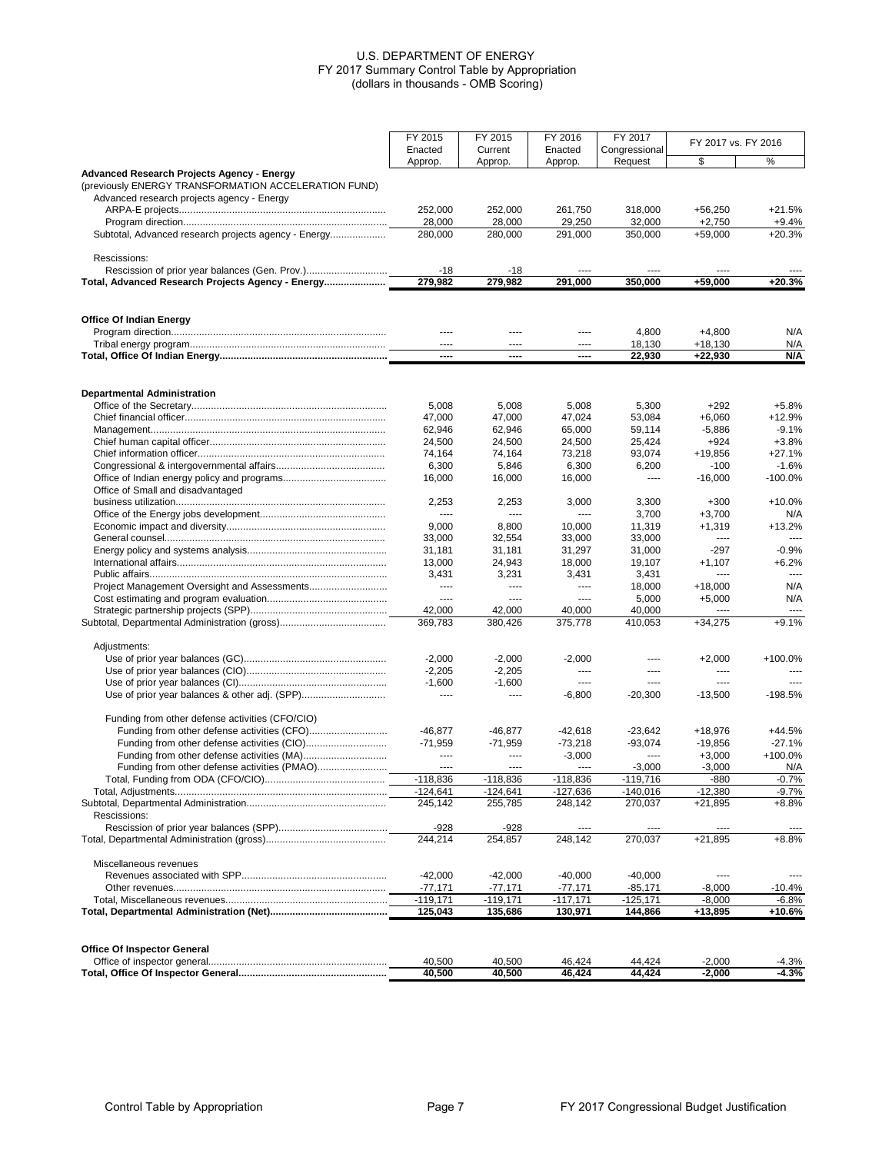|                                                      | FY 2015<br>FY 2015 |                   | FY 2016          | FY 2017          |                     |                    |
|------------------------------------------------------|--------------------|-------------------|------------------|------------------|---------------------|--------------------|
|                                                      | Enacted            | Current           | Enacted          | Congressional    | FY 2017 vs. FY 2016 |                    |
|                                                      | Approp.            | Approp.           | Approp.          | Request          | \$                  | %                  |
| <b>Advanced Research Projects Agency - Energy</b>    |                    |                   |                  |                  |                     |                    |
| (previously ENERGY TRANSFORMATION ACCELERATION FUND) |                    |                   |                  |                  |                     |                    |
| Advanced research projects agency - Energy           | 252,000            | 252,000           | 261,750          | 318,000          | $+56,250$           | $+21.5%$           |
|                                                      | 28.000             | 28,000            | 29,250           | 32,000           | $+2,750$            | $+9.4%$            |
| Subtotal, Advanced research projects agency - Energy | 280,000            | 280,000           | 291,000          | 350,000          | $+59,000$           | $+20.3%$           |
|                                                      |                    |                   |                  |                  |                     |                    |
| Rescissions:                                         |                    |                   |                  |                  |                     |                    |
|                                                      | $-18$              | $-18$             |                  |                  |                     |                    |
| Total, Advanced Research Projects Agency - Energy    | 279.982            | 279,982           | 291.000          | 350,000          | $+59,000$           | $+20.3%$           |
|                                                      |                    |                   |                  |                  |                     |                    |
| <b>Office Of Indian Energy</b>                       | $\cdots$           | $---$             | ----             | 4,800            | $+4,800$            | N/A                |
|                                                      | $\cdots$           | $---$             | ----             | 18,130           | $+18,130$           | N/A                |
|                                                      | ----               | ----              | ----             | 22,930           | $+22,930$           | N/A                |
|                                                      |                    |                   |                  |                  |                     |                    |
| <b>Departmental Administration</b>                   |                    |                   |                  |                  |                     |                    |
|                                                      | 5,008              | 5,008             | 5,008            | 5,300            | $+292$              | $+5.8%$            |
|                                                      | 47,000             | 47,000            | 47,024           | 53,084           | $+6.060$            | $+12.9%$           |
|                                                      | 62,946             | 62,946            | 65,000           | 59,114           | $-5,886$            | $-9.1%$            |
|                                                      | 24.500             | 24.500            | 24,500           | 25.424           | $+924$              | $+3.8%$            |
|                                                      | 74,164             | 74,164            | 73,218           | 93,074           | +19,856             | $+27.1%$           |
|                                                      | 6,300              | 5,846             | 6,300            | 6,200            | $-100$              | $-1.6%$            |
|                                                      | 16,000             | 16,000            | 16,000           | $\cdots$         | $-16,000$           | -100.0%            |
| Office of Small and disadvantaged                    |                    |                   |                  |                  |                     |                    |
|                                                      | 2,253              | 2,253             | 3,000            | 3,300            | $+300$              | $+10.0%$           |
|                                                      | ----               | $\cdots$          | $---$            | 3,700            | $+3,700$            | N/A                |
|                                                      | 9,000              | 8,800             | 10,000           | 11,319           | $+1,319$            | $+13.2%$<br>$\sim$ |
|                                                      | 33,000             | 32,554            | 33,000           | 33,000           | ----<br>$-297$      | -0.9%              |
|                                                      | 31,181<br>13,000   | 31,181<br>24,943  | 31,297<br>18,000 | 31,000<br>19,107 | $+1,107$            | $+6.2%$            |
|                                                      | 3,431              | 3,231             | 3,431            | 3,431            | $\cdots$            | $\frac{1}{2}$      |
|                                                      | ----               | $\cdots$          | $---$            | 18,000           | $+18,000$           | N/A                |
|                                                      | $---$              | $\cdots$          | $\cdots$         | 5,000            | $+5,000$            | N/A                |
|                                                      | 42,000             | 42,000            | 40,000           | 40,000           | ----                | $\cdots$           |
|                                                      | 369,783            | 380,426           | 375,778          | 410,053          | $+34,275$           | $+9.1%$            |
| Adjustments:                                         |                    |                   |                  |                  |                     |                    |
|                                                      | $-2,000$           | $-2,000$          | $-2,000$         | $\cdots$         | $+2,000$            | +100.0%            |
|                                                      | $-2,205$           | $-2,205$          | $\cdots$         | $---$            | $\cdots$            | $---$              |
|                                                      | $-1,600$           | $-1,600$          | ----             | $\cdots$         | ----                |                    |
|                                                      | $\cdots$           | ----              | $-6,800$         | $-20,300$        | $-13,500$           | $-198.5%$          |
| Funding from other defense activities (CFO/CIO)      |                    |                   |                  |                  |                     |                    |
|                                                      | $-46,877$          | $-46,877$         | $-42,618$        | $-23,642$        | +18,976             | $+44.5%$           |
|                                                      | $-71.959$          | $-71,959$         | $-73,218$        | $-93,074$        | $-19,856$           | $-27.1%$           |
|                                                      |                    | $\cdots$          | $-3,000$         | $\overline{a}$   | $+3,000$            | +100.0%            |
|                                                      | $- - -$            | $---$             | $\cdots$         | $-3,000$         | $-3,000$            | N/A                |
|                                                      | $-118,836$         | $-118,836$        | $-118,836$       | -119,716         | -880                | $-0.7%$            |
|                                                      | $-124,641$         | $-124,641$        | $-127,636$       | $-140,016$       | $-12,380$           | $-9.7%$            |
|                                                      | 245,142            | 255,785           | 248,142          | 270,037          | $+21,895$           | $+8.8%$            |
| Rescissions:                                         |                    |                   |                  |                  |                     |                    |
|                                                      | $-928$<br>244,214  | $-928$<br>254,857 | ----<br>248,142  | ----<br>270,037  | ----<br>$+21,895$   | $+8.8%$            |
|                                                      |                    |                   |                  |                  |                     |                    |
| Miscellaneous revenues                               |                    |                   |                  |                  |                     |                    |
|                                                      | $-42,000$          | $-42,000$         | $-40,000$        | $-40,000$        | ----                | $---$              |
|                                                      | $-77,171$          | $-77,171$         | $-77,171$        | $-85,171$        | $-8,000$            | $-10.4%$           |
|                                                      | $-119,171$         | $-119,171$        | $-117,171$       | $-125, 171$      | $-8,000$            | $-6.8%$            |
|                                                      | 125,043            | 135,686           | 130,971          | 144,866          | +13,895             | +10.6%             |
|                                                      |                    |                   |                  |                  |                     |                    |
| <b>Office Of Inspector General</b>                   | 40,500             | 40,500            | 46,424           | 44,424           | $-2,000$            | $-4.3%$            |
|                                                      | 40,500             | 40,500            | 46,424           | 44,424           | $-2,000$            | -4.3%              |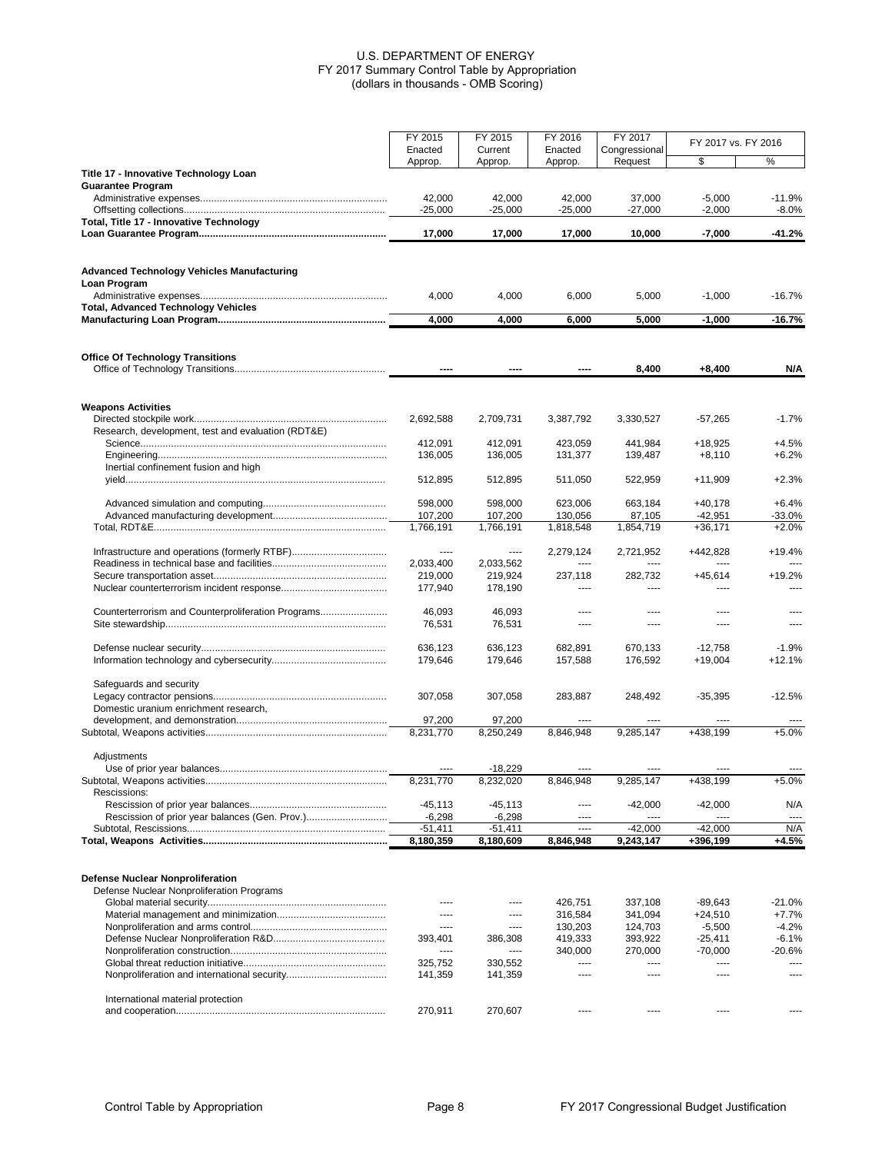|                                                                   | FY 2015                | FY 2015               | FY 2016            | FY 2017            | FY 2017 vs. FY 2016    |                     |
|-------------------------------------------------------------------|------------------------|-----------------------|--------------------|--------------------|------------------------|---------------------|
|                                                                   | Enacted                | Current               | Enacted            | Congressional      |                        |                     |
| Title 17 - Innovative Technology Loan                             | Approp.                | Approp.               | Approp.            | Request            | \$                     | %                   |
| <b>Guarantee Program</b>                                          |                        |                       |                    |                    |                        |                     |
|                                                                   | 42,000                 | 42,000                | 42,000             | 37,000             | $-5,000$               | $-11.9%$            |
| Total, Title 17 - Innovative Technology                           | $-25,000$              | $-25,000$             | $-25,000$          | $-27,000$          | $-2,000$               | $-8.0%$             |
|                                                                   | 17,000                 | 17,000                | 17,000             | 10,000             | $-7,000$               | $-41.2%$            |
|                                                                   |                        |                       |                    |                    |                        |                     |
| <b>Advanced Technology Vehicles Manufacturing</b><br>Loan Program | 4,000                  | 4,000                 | 6,000              | 5,000              | $-1,000$               | $-16.7%$            |
| <b>Total, Advanced Technology Vehicles</b>                        |                        |                       |                    |                    |                        |                     |
|                                                                   | 4,000                  | 4,000                 | 6,000              | 5,000              | $-1,000$               | $-16.7%$            |
| <b>Office Of Technology Transitions</b>                           |                        |                       |                    |                    |                        |                     |
|                                                                   | $\sim$                 |                       |                    | 8,400              | $+8,400$               | N/A                 |
| <b>Weapons Activities</b>                                         |                        |                       |                    |                    |                        |                     |
| Research, development, test and evaluation (RDT&E)                | 2,692,588              | 2,709,731             | 3,387,792          | 3,330,527          | $-57,265$              | $-1.7%$             |
|                                                                   | 412,091                | 412.091               | 423,059            | 441,984            | $+18,925$              | $+4.5%$             |
|                                                                   | 136,005                | 136,005               | 131,377            | 139,487            | $+8,110$               | $+6.2%$             |
| Inertial confinement fusion and high                              |                        |                       |                    |                    |                        |                     |
|                                                                   | 512,895                | 512,895               | 511,050            | 522,959            | $+11,909$              | $+2.3%$             |
|                                                                   | 598,000                | 598,000               | 623,006            | 663,184            | $+40,178$              | $+6.4%$             |
|                                                                   | 107,200                | 107,200               | 130,056            | 87,105             | $-42,951$              | $-33.0%$            |
|                                                                   | 1,766,191              | 1,766,191             | 1,818,548          | 1,854,719          | $+36,171$              | $+2.0%$             |
|                                                                   | $---$                  | $- - - -$             | 2,279,124          | 2,721,952          | +442,828               | $+19.4%$            |
|                                                                   | 2,033,400              | 2,033,562             | ----               | $---$              | ----                   | $\sim$              |
|                                                                   | 219,000                | 219,924               | 237,118            | 282,732            | $+45,614$              | $+19.2%$            |
|                                                                   | 177,940                | 178,190               | ----               | $---$              | ----                   | $\cdots$            |
| Counterterrorism and Counterproliferation Programs                | 46,093                 | 46,093                |                    | ----               |                        |                     |
|                                                                   | 76,531                 | 76,531                | $---$              | $---$              | $---$                  | $---$               |
|                                                                   |                        |                       |                    |                    |                        |                     |
|                                                                   | 636,123<br>179,646     | 636,123<br>179,646    | 682,891<br>157,588 | 670,133<br>176,592 | $-12,758$<br>$+19,004$ | $-1.9%$<br>$+12.1%$ |
|                                                                   |                        |                       |                    |                    |                        |                     |
| Safeguards and security                                           |                        |                       |                    |                    |                        |                     |
| Domestic uranium enrichment research,                             | 307,058                | 307,058               | 283,887            | 248,492            | $-35,395$              | $-12.5%$            |
|                                                                   | 97,200                 | 97,200                |                    |                    |                        |                     |
|                                                                   | 8,231,770              | 8,250,249             | 8.846.948          | 9.285.147          | +438,199               | $+5.0%$             |
| Adjustments                                                       |                        |                       |                    |                    |                        |                     |
|                                                                   |                        | $-18,229$             |                    |                    |                        |                     |
|                                                                   | 8,231,770              | 8,232,020             | 8,846,948          | 9,285,147          | +438,199               | $+5.0%$             |
| Rescissions:                                                      |                        |                       |                    |                    |                        |                     |
|                                                                   | $-45, 113$<br>$-6,298$ | $-45,113$<br>$-6,298$ | $---$<br>----      | $-42,000$<br>$---$ | $-42,000$<br>----      | N/A<br>$---$        |
|                                                                   | $-51,411$              | $-51,411$             | $\cdots$           | $-42,000$          | $-42,000$              | N/A                 |
|                                                                   | 8,180,359              | 8,180,609             | 8,846,948          | 9,243,147          | +396,199               | $+4.5%$             |
|                                                                   |                        |                       |                    |                    |                        |                     |
| <b>Defense Nuclear Nonproliferation</b>                           |                        |                       |                    |                    |                        |                     |
| Defense Nuclear Nonproliferation Programs                         |                        |                       |                    |                    |                        |                     |
|                                                                   | $---$                  | $---$                 | 426,751            | 337,108            | $-89,643$              | $-21.0%$            |
|                                                                   | $---$<br>$---$         | $- - - -$<br>$---$    | 316,584<br>130,203 | 341,094<br>124,703 | $+24,510$<br>$-5,500$  | $+7.7%$<br>$-4.2%$  |
|                                                                   | 393,401                | 386,308               | 419,333            | 393,922            | $-25,411$              | $-6.1%$             |
|                                                                   | $\cdots$               | $\cdots$              | 340,000            | 270,000            | $-70,000$              | $-20.6%$            |
|                                                                   | 325,752                | 330,552               | ----               | $---$              | ----                   | $\cdots$            |
|                                                                   | 141,359                | 141,359               | $---$              | $---$              | $---$                  | ----                |
| International material protection                                 |                        |                       |                    |                    |                        |                     |
|                                                                   | 270,911                | 270,607               | $---$              | $---$              | $\cdots$               | $---$               |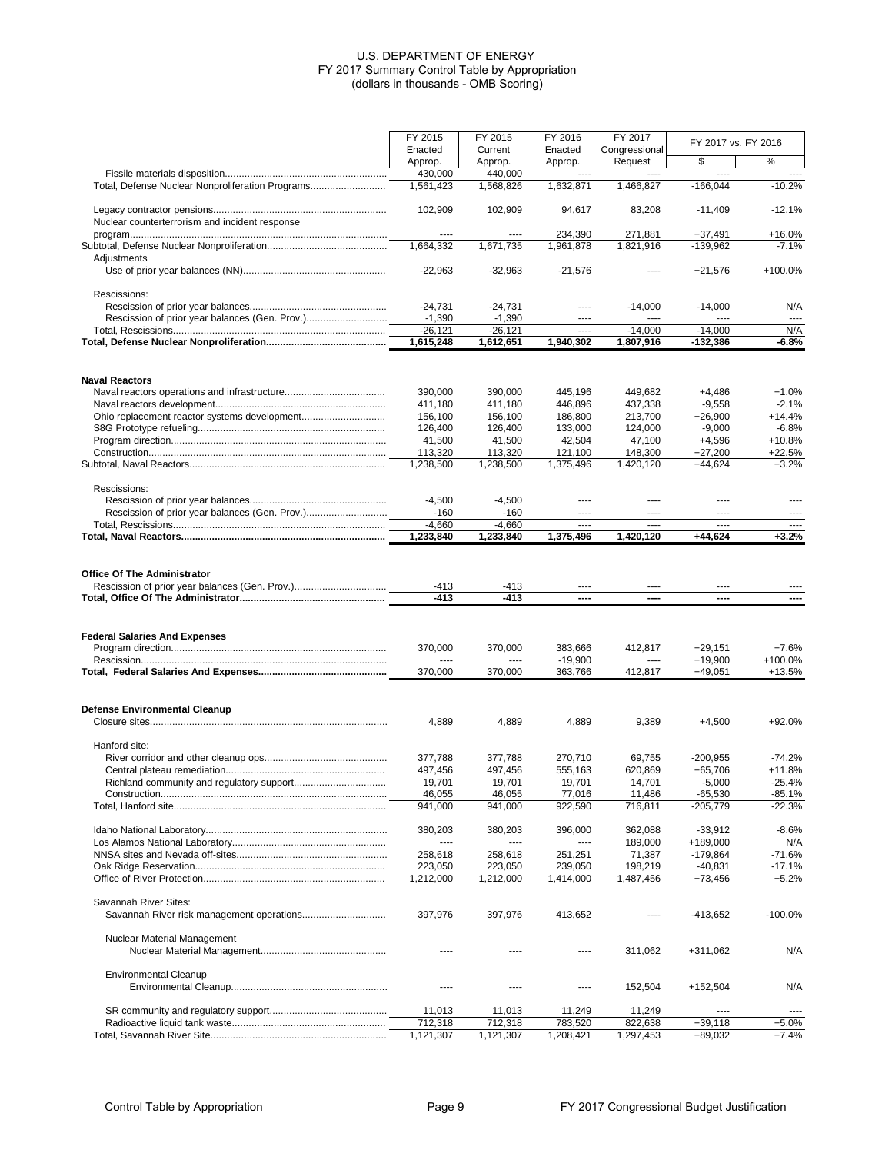|                                                  | FY 2015<br>Enacted    | FY 2015<br>Current    | FY 2016<br>Enacted   | FY 2017<br>Congressional | FY 2017 vs. FY 2016     |                      |
|--------------------------------------------------|-----------------------|-----------------------|----------------------|--------------------------|-------------------------|----------------------|
|                                                  | Approp.               | Approp.               | Approp.              | Request                  | \$                      | %                    |
| Total, Defense Nuclear Nonproliferation Programs | 430,000<br>1,561,423  | 440,000<br>1,568,826  | 1,632,871            | 1,466,827                | ----<br>$-166,044$      | $\sim$<br>$-10.2%$   |
|                                                  |                       |                       |                      |                          |                         |                      |
|                                                  | 102,909               | 102,909               | 94.617               | 83,208                   | $-11,409$               | $-12.1%$             |
| Nuclear counterterrorism and incident response   | $---$                 | ----                  | 234,390              | 271,881                  | $+37,491$               | $+16.0%$             |
|                                                  | 1,664,332             | 1,671,735             | 1,961,878            | 1,821,916                | $-139,962$              | $-7.1%$              |
| Adjustments                                      |                       |                       |                      |                          |                         |                      |
|                                                  | $-22,963$             | $-32,963$             | $-21,576$            | $---$                    | $+21,576$               | +100.0%              |
| Rescissions:                                     |                       |                       |                      |                          |                         |                      |
|                                                  | $-24,731$             | $-24,731$             | ----                 | $-14,000$                | $-14,000$               | N/A                  |
|                                                  | $-1,390$<br>$-26,121$ | $-1,390$<br>$-26.121$ | ----<br>----         | $\cdots$<br>$-14,000$    | ----<br>$-14,000$       | $\cdots$<br>N/A      |
|                                                  | 1,615,248             | 1,612,651             | 1,940,302            | 1,807,916                | -132,386                | -6.8%                |
|                                                  |                       |                       |                      |                          |                         |                      |
| <b>Naval Reactors</b>                            | 390,000               | 390,000               | 445,196              | 449,682                  | $+4,486$                | $+1.0%$              |
|                                                  | 411,180               | 411,180               | 446,896              | 437,338                  | $-9,558$                | $-2.1%$              |
|                                                  | 156,100               | 156,100               | 186,800              | 213,700                  | $+26,900$               | $+14.4%$             |
|                                                  | 126.400               | 126,400               | 133,000              | 124,000                  | $-9,000$                | $-6.8%$              |
|                                                  | 41,500<br>113,320     | 41,500<br>113,320     | 42,504<br>121.100    | 47,100<br>148,300        | $+4,596$<br>$+27,200$   | $+10.8%$<br>$+22.5%$ |
|                                                  | 1,238,500             | 1,238,500             | 1,375,496            | 1,420,120                | $+44,624$               | $+3.2%$              |
|                                                  |                       |                       |                      |                          |                         |                      |
| Rescissions:                                     | $-4,500$              | $-4,500$              | ----                 | ----                     | ----                    | $---$                |
|                                                  | $-160$                | $-160$                | ----                 | $---$                    | ----                    | $---$                |
|                                                  | $-4,660$              | $-4,660$              | ----                 | ----                     | ----                    |                      |
|                                                  | 1,233,840             | 1,233,840             | 1,375,496            | 1,420,120                | +44,624                 | $+3.2%$              |
|                                                  |                       |                       |                      |                          |                         |                      |
| <b>Office Of The Administrator</b>               |                       |                       |                      |                          |                         |                      |
|                                                  | $-413$<br>$-413$      | -413<br>-413          | ----<br>----         | $---$<br>----            | ----<br>----            | ----                 |
|                                                  |                       |                       |                      |                          |                         |                      |
| <b>Federal Salaries And Expenses</b>             |                       |                       |                      |                          |                         |                      |
|                                                  | 370,000               | 370,000               | 383,666              | 412,817                  | $+29,151$               | $+7.6%$              |
|                                                  | 370,000               | 370,000               | $-19,900$<br>363,766 | 412,817                  | $+19,900$<br>$+49,051$  | +100.0%<br>$+13.5%$  |
|                                                  |                       |                       |                      |                          |                         |                      |
| <b>Defense Environmental Cleanup</b>             |                       |                       |                      |                          |                         |                      |
|                                                  | 4,889                 | 4,889                 | 4,889                | 9,389                    | $+4,500$                | +92.0%               |
| Hanford site:                                    |                       |                       |                      |                          |                         |                      |
|                                                  | 377.788               | 377,788               | 270,710              | 69,755                   | $-200,955$              | $-74.2%$             |
|                                                  | 497,456               | 497,456               | 555,163              | 620,869                  | $+65,706$               | $+11.8%$             |
|                                                  | 19,701                | 19,701                | 19,701               | 14,701                   | $-5,000$                | $-25.4%$             |
|                                                  | 46,055<br>941,000     | 46,055<br>941,000     | 77,016<br>922,590    | 11,486<br>716,811        | $-65,530$<br>$-205,779$ | $-85.1%$<br>$-22.3%$ |
|                                                  |                       |                       |                      |                          |                         |                      |
|                                                  | 380,203               | 380.203               | 396,000              | 362,088                  | $-33,912$               | $-8.6%$              |
|                                                  | $---$                 | $\cdots$              |                      | 189,000                  | +189,000                | N/A                  |
|                                                  | 258,618<br>223,050    | 258,618<br>223,050    | 251,251<br>239,050   | 71,387<br>198,219        | $-179,864$<br>$-40,831$ | $-71.6%$<br>$-17.1%$ |
|                                                  | 1,212,000             | 1,212,000             | 1,414,000            | 1,487,456                | +73,456                 | $+5.2%$              |
|                                                  |                       |                       |                      |                          |                         |                      |
| Savannah River Sites:                            | 397,976               | 397,976               | 413,652              | ----                     | $-413,652$              | $-100.0%$            |
|                                                  |                       |                       |                      |                          |                         |                      |
| Nuclear Material Management                      |                       |                       |                      |                          |                         |                      |
|                                                  | ----                  |                       | ----                 | 311,062                  | +311,062                | N/A                  |
| <b>Environmental Cleanup</b>                     |                       |                       |                      |                          |                         |                      |
|                                                  | ----                  | ----                  | ----                 | 152,504                  | +152,504                | N/A                  |
|                                                  | 11,013                | 11,013                | 11,249               | 11,249                   | ----                    | $---$                |
|                                                  | 712,318               | 712,318               | 783,520              | 822,638                  | $+39,118$               | $+5.0%$              |
|                                                  | 1,121,307             | 1,121,307             | 1,208,421            | 1,297,453                | +89,032                 | $+7.4%$              |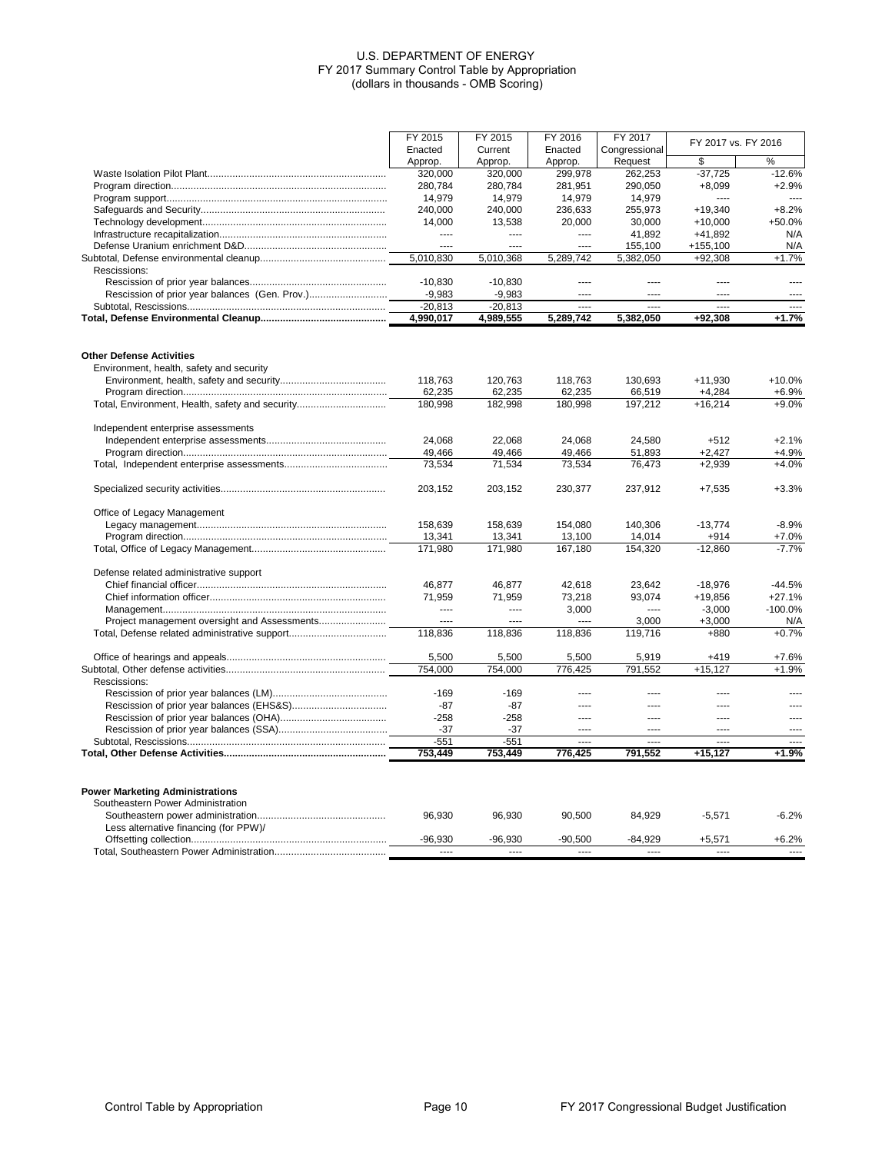|                                                 | FY 2015   | FY 2015        | FY 2016        | FY 2017        |                          |                          |
|-------------------------------------------------|-----------|----------------|----------------|----------------|--------------------------|--------------------------|
|                                                 | Enacted   | Current        | Enacted        | Congressional  | FY 2017 vs. FY 2016      |                          |
|                                                 | Approp.   | Approp.        | Approp         | Request        |                          | %                        |
|                                                 | 320,000   | 320,000        | 299,978        | 262,253        | $-37,725$                | $-12.6%$                 |
|                                                 | 280,784   | 280,784        | 281,951        | 290,050        | $+8,099$                 | $+2.9%$                  |
|                                                 | 14,979    | 14,979         | 14,979         | 14,979         |                          |                          |
|                                                 | 240,000   | 240,000        | 236,633        | 255,973        | $+19,340$                | $+8.2%$                  |
|                                                 | 14,000    | 13,538         | 20,000         | 30,000         | $+10,000$                | +50.0%                   |
|                                                 | ----      | $1 - 1$        | $-$            | 41,892         | $+41,892$                | N/A                      |
|                                                 | $\sim$    | $\overline{a}$ | $\overline{a}$ | 155,100        | $+155,100$               | N/A                      |
|                                                 | 5,010,830 | 5,010,368      | 5,289,742      | 5,382,050      | $+92,308$                | $+1.7%$                  |
| Rescissions:                                    |           |                |                |                |                          |                          |
|                                                 | $-10.830$ | $-10,830$      | $---$          | $\cdots$       | $\cdots$                 | $\sim$                   |
|                                                 | $-9,983$  | $-9,983$       | $---$          |                | $\cdots$                 | $\cdots$                 |
|                                                 | $-20,813$ | $-20,813$      | ----           | ----           | ----                     | $1 - 1$                  |
|                                                 | 4,990,017 | 4,989,555      | 5,289,742      | 5,382,050      | +92.308                  | $+1.7%$                  |
| <b>Other Defense Activities</b>                 |           |                |                |                |                          |                          |
| Environment, health, safety and security        | 118,763   | 120,763        | 118,763        | 130,693        | $+11,930$                | $+10.0%$                 |
|                                                 | 62,235    | 62,235         | 62,235         | 66,519         | $+4,284$                 | $+6.9%$                  |
| Total, Environment, Health, safety and security | 180,998   | 182,998        | 180,998        | 197,212        | $+16,214$                | $+9.0%$                  |
|                                                 |           |                |                |                |                          |                          |
| Independent enterprise assessments              |           |                |                |                |                          |                          |
|                                                 | 24,068    | 22,068         | 24,068         | 24,580         | $+512$                   | $+2.1%$                  |
|                                                 | 49,466    | 49,466         | 49,466         | 51,893         | $+2,427$                 | $+4.9%$                  |
|                                                 | 73,534    | 71,534         | 73,534         | 76,473         | $+2,939$                 | $+4.0%$                  |
|                                                 | 203,152   | 203,152        | 230,377        | 237,912        | $+7,535$                 | $+3.3%$                  |
| Office of Legacy Management                     |           |                |                |                |                          |                          |
|                                                 | 158.639   | 158,639        | 154,080        | 140,306        | $-13,774$                | $-8.9%$                  |
|                                                 | 13,341    | 13,341         | 13,100         | 14,014         | +914                     | $+7.0%$                  |
|                                                 | 171.980   | 171,980        | 167.180        | 154.320        | $-12.860$                | $-7.7%$                  |
| Defense related administrative support          |           |                |                |                |                          |                          |
|                                                 | 46,877    | 46,877         | 42,618         | 23,642         | $-18,976$                | $-44.5%$                 |
|                                                 | 71,959    | 71,959         | 73,218         | 93,074         | $+19,856$                | $+27.1%$                 |
|                                                 | $\cdots$  | $\cdots$       | 3,000          | $\cdots$       | $-3,000$                 | $-100.0%$                |
|                                                 | $\sim$    | ----           | $- - -$        | 3,000          | $+3,000$                 | N/A                      |
|                                                 | 118,836   | 118,836        | 118,836        | 119,716        | +880                     | $+0.7%$                  |
|                                                 | 5,500     | 5,500          | 5,500          | 5,919          | $+419$                   | $+7.6%$                  |
|                                                 | 754,000   | 754,000        | 776,425        | 791,552        | $+15,127$                | $+1.9%$                  |
| Rescissions:                                    |           |                |                |                |                          |                          |
|                                                 | $-169$    | $-169$         | ----           | $\cdots$       | ----                     | $\cdots$                 |
|                                                 | $-87$     | $-87$          | $- - - -$      | $\overline{a}$ | $\sim$                   | $\sim$                   |
|                                                 | $-258$    | $-258$         | $---$          | $\cdots$       | $\overline{\phantom{a}}$ | $\cdots$                 |
|                                                 | $-37$     | $-37$          |                | ----           | ----                     | 1122                     |
|                                                 | $-551$    | $-551$         | $- - - -$      | 1.11           | $\overline{a}$           | $\overline{\phantom{a}}$ |
|                                                 | 753,449   | 753,449        | 776,425        | 791,552        | $+15,127$                | $+1.9%$                  |
|                                                 |           |                |                |                |                          |                          |
| <b>Power Marketing Administrations</b>          |           |                |                |                |                          |                          |
| Southeastern Power Administration               |           |                |                |                |                          |                          |
|                                                 | 96,930    | 96,930         | 90,500         | 84,929         | $-5,571$                 | $-6.2%$                  |
| Less alternative financing (for PPW)/           |           |                |                |                |                          |                          |
|                                                 | $-96,930$ | $-96,930$      | $-90,500$      | $-84,929$      | $+5,571$                 | $+6.2%$                  |
|                                                 | $- - - -$ | $---$          | $-$            | $---$          | $\sim$                   | $\overline{a}$           |